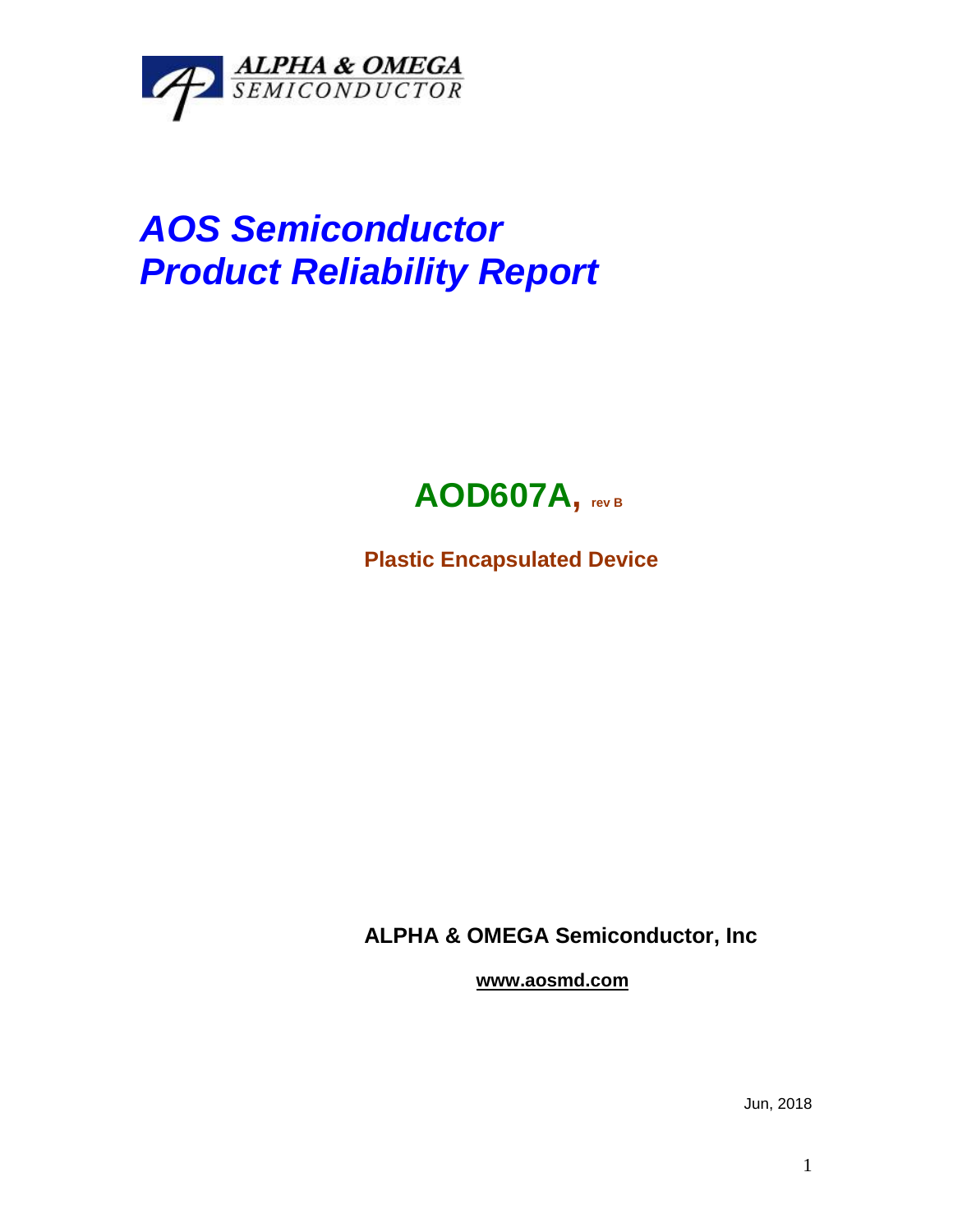

## *AOS Semiconductor Product Reliability Report*



**Plastic Encapsulated Device**

**ALPHA & OMEGA Semiconductor, Inc**

**www.aosmd.com**

Jun, 2018